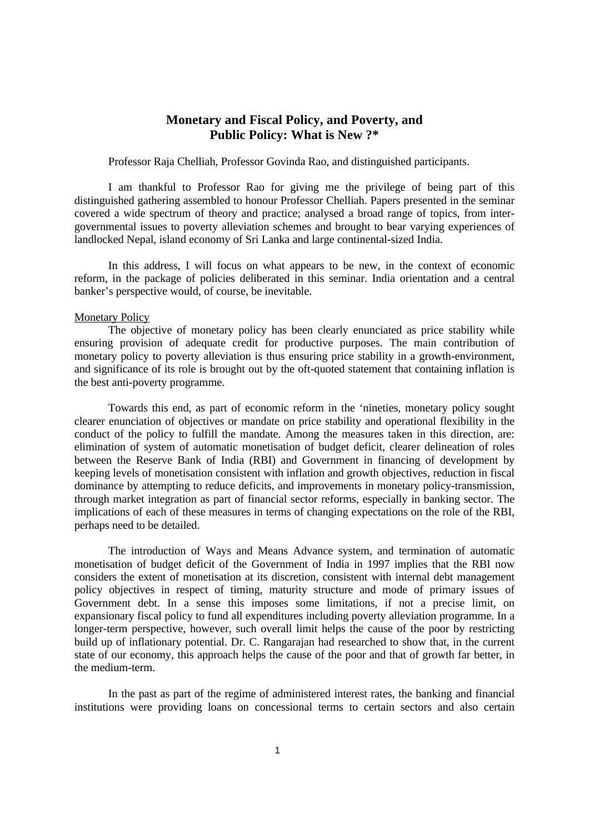# **Monetary and Fiscal Policy, and Poverty, and Public Policy: What is New ?\***

Professor Raja Chelliah, Professor Govinda Rao, and distinguished participants.

I am thankful to Professor Rao for giving me the privilege of being part of this distinguished gathering assembled to honour Professor Chelliah. Papers presented in the seminar covered a wide spectrum of theory and practice; analysed a broad range of topics, from intergovernmental issues to poverty alleviation schemes and brought to bear varying experiences of landlocked Nepal, island economy of Sri Lanka and large continental-sized India.

In this address, I will focus on what appears to be new, in the context of economic reform, in the package of policies deliberated in this seminar. India orientation and a central banker's perspective would, of course, be inevitable.

### Monetary Policy

The objective of monetary policy has been clearly enunciated as price stability while ensuring provision of adequate credit for productive purposes. The main contribution of monetary policy to poverty alleviation is thus ensuring price stability in a growth-environment, and significance of its role is brought out by the oft-quoted statement that containing inflation is the best anti-poverty programme.

Towards this end, as part of economic reform in the 'nineties, monetary policy sought clearer enunciation of objectives or mandate on price stability and operational flexibility in the conduct of the policy to fulfill the mandate. Among the measures taken in this direction, are: elimination of system of automatic monetisation of budget deficit, clearer delineation of roles between the Reserve Bank of India (RBI) and Government in financing of development by keeping levels of monetisation consistent with inflation and growth objectives, reduction in fiscal dominance by attempting to reduce deficits, and improvements in monetary policy-transmission, through market integration as part of financial sector reforms, especially in banking sector. The implications of each of these measures in terms of changing expectations on the role of the RBI, perhaps need to be detailed.

The introduction of Ways and Means Advance system, and termination of automatic monetisation of budget deficit of the Government of India in 1997 implies that the RBI now considers the extent of monetisation at its discretion, consistent with internal debt management policy objectives in respect of timing, maturity structure and mode of primary issues of Government debt. In a sense this imposes some limitations, if not a precise limit, on expansionary fiscal policy to fund all expenditures including poverty alleviation programme. In a longer-term perspective, however, such overall limit helps the cause of the poor by restricting build up of inflationary potential. Dr. C. Rangarajan had researched to show that, in the current state of our economy, this approach helps the cause of the poor and that of growth far better, in the medium-term.

In the past as part of the regime of administered interest rates, the banking and financial institutions were providing loans on concessional terms to certain sectors and also certain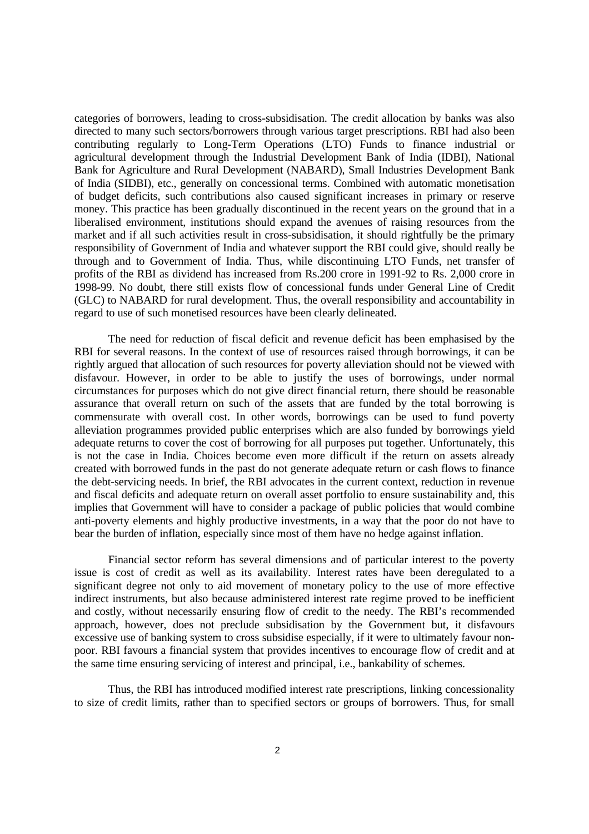categories of borrowers, leading to cross-subsidisation. The credit allocation by banks was also directed to many such sectors/borrowers through various target prescriptions. RBI had also been contributing regularly to Long-Term Operations (LTO) Funds to finance industrial or agricultural development through the Industrial Development Bank of India (IDBI), National Bank for Agriculture and Rural Development (NABARD), Small Industries Development Bank of India (SIDBI), etc., generally on concessional terms. Combined with automatic monetisation of budget deficits, such contributions also caused significant increases in primary or reserve money. This practice has been gradually discontinued in the recent years on the ground that in a liberalised environment, institutions should expand the avenues of raising resources from the market and if all such activities result in cross-subsidisation, it should rightfully be the primary responsibility of Government of India and whatever support the RBI could give, should really be through and to Government of India. Thus, while discontinuing LTO Funds, net transfer of profits of the RBI as dividend has increased from Rs.200 crore in 1991-92 to Rs. 2,000 crore in 1998-99. No doubt, there still exists flow of concessional funds under General Line of Credit (GLC) to NABARD for rural development. Thus, the overall responsibility and accountability in regard to use of such monetised resources have been clearly delineated.

The need for reduction of fiscal deficit and revenue deficit has been emphasised by the RBI for several reasons. In the context of use of resources raised through borrowings, it can be rightly argued that allocation of such resources for poverty alleviation should not be viewed with disfavour. However, in order to be able to justify the uses of borrowings, under normal circumstances for purposes which do not give direct financial return, there should be reasonable assurance that overall return on such of the assets that are funded by the total borrowing is commensurate with overall cost. In other words, borrowings can be used to fund poverty alleviation programmes provided public enterprises which are also funded by borrowings yield adequate returns to cover the cost of borrowing for all purposes put together. Unfortunately, this is not the case in India. Choices become even more difficult if the return on assets already created with borrowed funds in the past do not generate adequate return or cash flows to finance the debt-servicing needs. In brief, the RBI advocates in the current context, reduction in revenue and fiscal deficits and adequate return on overall asset portfolio to ensure sustainability and, this implies that Government will have to consider a package of public policies that would combine anti-poverty elements and highly productive investments, in a way that the poor do not have to bear the burden of inflation, especially since most of them have no hedge against inflation.

Financial sector reform has several dimensions and of particular interest to the poverty issue is cost of credit as well as its availability. Interest rates have been deregulated to a significant degree not only to aid movement of monetary policy to the use of more effective indirect instruments, but also because administered interest rate regime proved to be inefficient and costly, without necessarily ensuring flow of credit to the needy. The RBI's recommended approach, however, does not preclude subsidisation by the Government but, it disfavours excessive use of banking system to cross subsidise especially, if it were to ultimately favour nonpoor. RBI favours a financial system that provides incentives to encourage flow of credit and at the same time ensuring servicing of interest and principal, i.e., bankability of schemes.

Thus, the RBI has introduced modified interest rate prescriptions, linking concessionality to size of credit limits, rather than to specified sectors or groups of borrowers. Thus, for small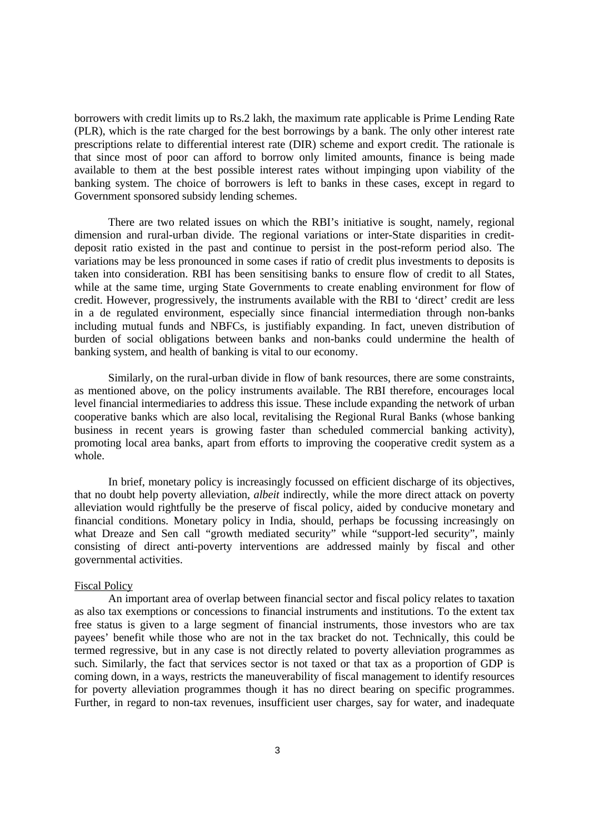borrowers with credit limits up to Rs.2 lakh, the maximum rate applicable is Prime Lending Rate (PLR), which is the rate charged for the best borrowings by a bank. The only other interest rate prescriptions relate to differential interest rate (DIR) scheme and export credit. The rationale is that since most of poor can afford to borrow only limited amounts, finance is being made available to them at the best possible interest rates without impinging upon viability of the banking system. The choice of borrowers is left to banks in these cases, except in regard to Government sponsored subsidy lending schemes.

There are two related issues on which the RBI's initiative is sought, namely, regional dimension and rural-urban divide. The regional variations or inter-State disparities in creditdeposit ratio existed in the past and continue to persist in the post-reform period also. The variations may be less pronounced in some cases if ratio of credit plus investments to deposits is taken into consideration. RBI has been sensitising banks to ensure flow of credit to all States, while at the same time, urging State Governments to create enabling environment for flow of credit. However, progressively, the instruments available with the RBI to 'direct' credit are less in a de regulated environment, especially since financial intermediation through non-banks including mutual funds and NBFCs, is justifiably expanding. In fact, uneven distribution of burden of social obligations between banks and non-banks could undermine the health of banking system, and health of banking is vital to our economy.

Similarly, on the rural-urban divide in flow of bank resources, there are some constraints, as mentioned above, on the policy instruments available. The RBI therefore, encourages local level financial intermediaries to address this issue. These include expanding the network of urban cooperative banks which are also local, revitalising the Regional Rural Banks (whose banking business in recent years is growing faster than scheduled commercial banking activity), promoting local area banks, apart from efforts to improving the cooperative credit system as a whole.

In brief, monetary policy is increasingly focussed on efficient discharge of its objectives, that no doubt help poverty alleviation, *albeit* indirectly, while the more direct attack on poverty alleviation would rightfully be the preserve of fiscal policy, aided by conducive monetary and financial conditions. Monetary policy in India, should, perhaps be focussing increasingly on what Dreaze and Sen call "growth mediated security" while "support-led security", mainly consisting of direct anti-poverty interventions are addressed mainly by fiscal and other governmental activities.

### Fiscal Policy

An important area of overlap between financial sector and fiscal policy relates to taxation as also tax exemptions or concessions to financial instruments and institutions. To the extent tax free status is given to a large segment of financial instruments, those investors who are tax payees' benefit while those who are not in the tax bracket do not. Technically, this could be termed regressive, but in any case is not directly related to poverty alleviation programmes as such. Similarly, the fact that services sector is not taxed or that tax as a proportion of GDP is coming down, in a ways, restricts the maneuverability of fiscal management to identify resources for poverty alleviation programmes though it has no direct bearing on specific programmes. Further, in regard to non-tax revenues, insufficient user charges, say for water, and inadequate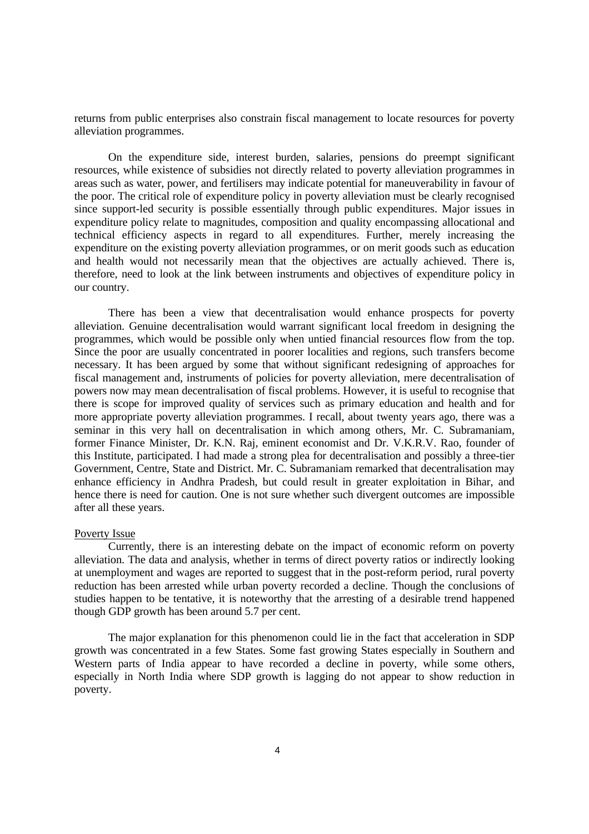returns from public enterprises also constrain fiscal management to locate resources for poverty alleviation programmes.

On the expenditure side, interest burden, salaries, pensions do preempt significant resources, while existence of subsidies not directly related to poverty alleviation programmes in areas such as water, power, and fertilisers may indicate potential for maneuverability in favour of the poor. The critical role of expenditure policy in poverty alleviation must be clearly recognised since support-led security is possible essentially through public expenditures. Major issues in expenditure policy relate to magnitudes, composition and quality encompassing allocational and technical efficiency aspects in regard to all expenditures. Further, merely increasing the expenditure on the existing poverty alleviation programmes, or on merit goods such as education and health would not necessarily mean that the objectives are actually achieved. There is, therefore, need to look at the link between instruments and objectives of expenditure policy in our country.

There has been a view that decentralisation would enhance prospects for poverty alleviation. Genuine decentralisation would warrant significant local freedom in designing the programmes, which would be possible only when untied financial resources flow from the top. Since the poor are usually concentrated in poorer localities and regions, such transfers become necessary. It has been argued by some that without significant redesigning of approaches for fiscal management and, instruments of policies for poverty alleviation, mere decentralisation of powers now may mean decentralisation of fiscal problems. However, it is useful to recognise that there is scope for improved quality of services such as primary education and health and for more appropriate poverty alleviation programmes. I recall, about twenty years ago, there was a seminar in this very hall on decentralisation in which among others, Mr. C. Subramaniam, former Finance Minister, Dr. K.N. Raj, eminent economist and Dr. V.K.R.V. Rao, founder of this Institute, participated. I had made a strong plea for decentralisation and possibly a three-tier Government, Centre, State and District. Mr. C. Subramaniam remarked that decentralisation may enhance efficiency in Andhra Pradesh, but could result in greater exploitation in Bihar, and hence there is need for caution. One is not sure whether such divergent outcomes are impossible after all these years.

#### Poverty Issue

Currently, there is an interesting debate on the impact of economic reform on poverty alleviation. The data and analysis, whether in terms of direct poverty ratios or indirectly looking at unemployment and wages are reported to suggest that in the post-reform period, rural poverty reduction has been arrested while urban poverty recorded a decline. Though the conclusions of studies happen to be tentative, it is noteworthy that the arresting of a desirable trend happened though GDP growth has been around 5.7 per cent.

The major explanation for this phenomenon could lie in the fact that acceleration in SDP growth was concentrated in a few States. Some fast growing States especially in Southern and Western parts of India appear to have recorded a decline in poverty, while some others, especially in North India where SDP growth is lagging do not appear to show reduction in poverty.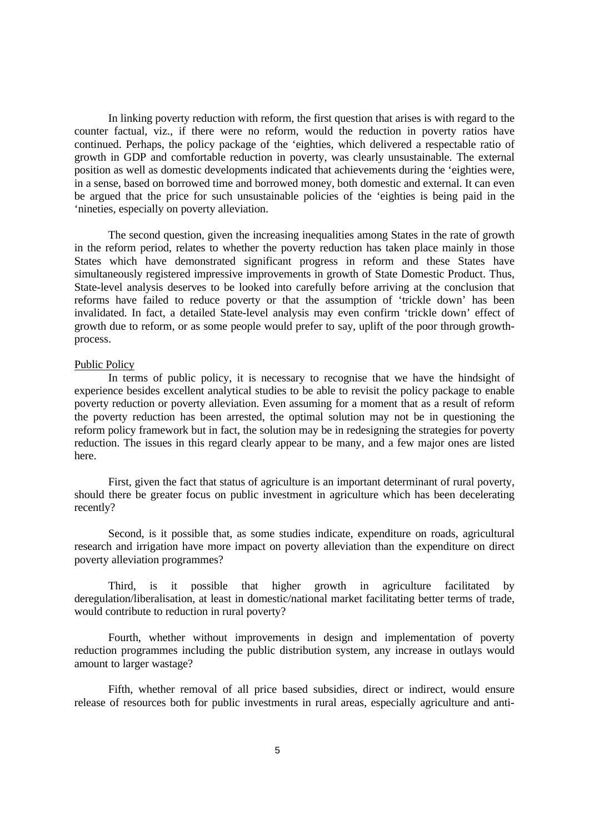In linking poverty reduction with reform, the first question that arises is with regard to the counter factual, viz., if there were no reform, would the reduction in poverty ratios have continued. Perhaps, the policy package of the 'eighties, which delivered a respectable ratio of growth in GDP and comfortable reduction in poverty, was clearly unsustainable. The external position as well as domestic developments indicated that achievements during the 'eighties were, in a sense, based on borrowed time and borrowed money, both domestic and external. It can even be argued that the price for such unsustainable policies of the 'eighties is being paid in the 'nineties, especially on poverty alleviation.

The second question, given the increasing inequalities among States in the rate of growth in the reform period, relates to whether the poverty reduction has taken place mainly in those States which have demonstrated significant progress in reform and these States have simultaneously registered impressive improvements in growth of State Domestic Product. Thus, State-level analysis deserves to be looked into carefully before arriving at the conclusion that reforms have failed to reduce poverty or that the assumption of 'trickle down' has been invalidated. In fact, a detailed State-level analysis may even confirm 'trickle down' effect of growth due to reform, or as some people would prefer to say, uplift of the poor through growthprocess.

# Public Policy

In terms of public policy, it is necessary to recognise that we have the hindsight of experience besides excellent analytical studies to be able to revisit the policy package to enable poverty reduction or poverty alleviation. Even assuming for a moment that as a result of reform the poverty reduction has been arrested, the optimal solution may not be in questioning the reform policy framework but in fact, the solution may be in redesigning the strategies for poverty reduction. The issues in this regard clearly appear to be many, and a few major ones are listed here.

First, given the fact that status of agriculture is an important determinant of rural poverty, should there be greater focus on public investment in agriculture which has been decelerating recently?

Second, is it possible that, as some studies indicate, expenditure on roads, agricultural research and irrigation have more impact on poverty alleviation than the expenditure on direct poverty alleviation programmes?

Third, is it possible that higher growth in agriculture facilitated by deregulation/liberalisation, at least in domestic/national market facilitating better terms of trade, would contribute to reduction in rural poverty?

Fourth, whether without improvements in design and implementation of poverty reduction programmes including the public distribution system, any increase in outlays would amount to larger wastage?

Fifth, whether removal of all price based subsidies, direct or indirect, would ensure release of resources both for public investments in rural areas, especially agriculture and anti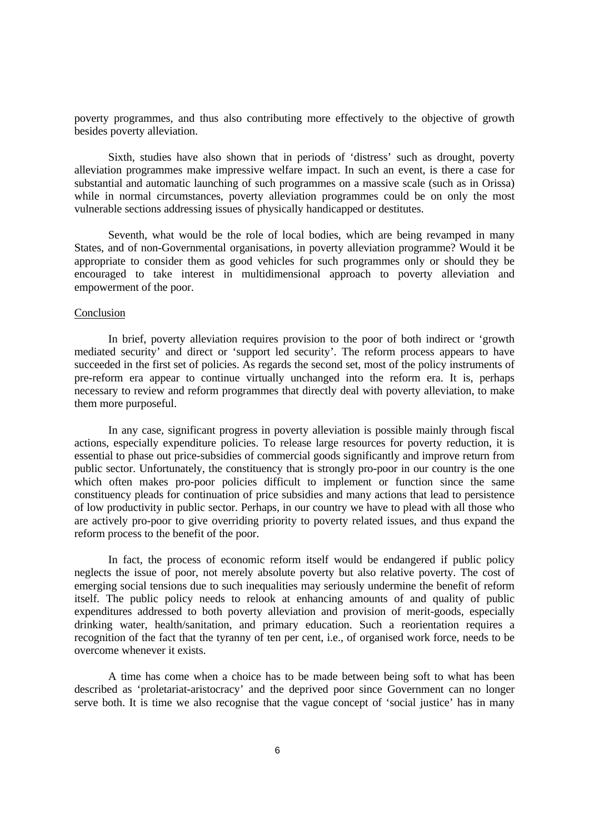poverty programmes, and thus also contributing more effectively to the objective of growth besides poverty alleviation.

Sixth, studies have also shown that in periods of 'distress' such as drought, poverty alleviation programmes make impressive welfare impact. In such an event, is there a case for substantial and automatic launching of such programmes on a massive scale (such as in Orissa) while in normal circumstances, poverty alleviation programmes could be on only the most vulnerable sections addressing issues of physically handicapped or destitutes.

Seventh, what would be the role of local bodies, which are being revamped in many States, and of non-Governmental organisations, in poverty alleviation programme? Would it be appropriate to consider them as good vehicles for such programmes only or should they be encouraged to take interest in multidimensional approach to poverty alleviation and empowerment of the poor.

## Conclusion

In brief, poverty alleviation requires provision to the poor of both indirect or 'growth mediated security' and direct or 'support led security'. The reform process appears to have succeeded in the first set of policies. As regards the second set, most of the policy instruments of pre-reform era appear to continue virtually unchanged into the reform era. It is, perhaps necessary to review and reform programmes that directly deal with poverty alleviation, to make them more purposeful.

In any case, significant progress in poverty alleviation is possible mainly through fiscal actions, especially expenditure policies. To release large resources for poverty reduction, it is essential to phase out price-subsidies of commercial goods significantly and improve return from public sector. Unfortunately, the constituency that is strongly pro-poor in our country is the one which often makes pro-poor policies difficult to implement or function since the same constituency pleads for continuation of price subsidies and many actions that lead to persistence of low productivity in public sector. Perhaps, in our country we have to plead with all those who are actively pro-poor to give overriding priority to poverty related issues, and thus expand the reform process to the benefit of the poor.

In fact, the process of economic reform itself would be endangered if public policy neglects the issue of poor, not merely absolute poverty but also relative poverty. The cost of emerging social tensions due to such inequalities may seriously undermine the benefit of reform itself. The public policy needs to relook at enhancing amounts of and quality of public expenditures addressed to both poverty alleviation and provision of merit-goods, especially drinking water, health/sanitation, and primary education. Such a reorientation requires a recognition of the fact that the tyranny of ten per cent, i.e., of organised work force, needs to be overcome whenever it exists.

A time has come when a choice has to be made between being soft to what has been described as 'proletariat-aristocracy' and the deprived poor since Government can no longer serve both. It is time we also recognise that the vague concept of 'social justice' has in many